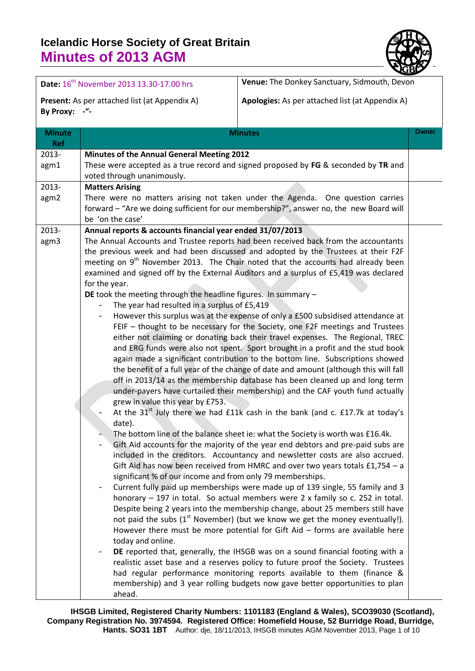

|                             | Date: 16 <sup>th</sup> November 2013 13.30-17.00 hrs                                                                                                                                                                                                                                                                                     | Venue: The Donkey Sanctuary, Sidmouth, Devon                                                                                                                                                                                                                                                                                                                                                                                                                                                                                                                                                                                                                                                                                                                                                                                                                                                                                                                                                                                                                                                                                                                                                                                                                                                                                                                                                                                                                                                                                                                                                                                                                                                                                                                                                                                                                                                                                                                                                                                                                                                                                                                                                                                                |  |  |  |  |  |  |
|-----------------------------|------------------------------------------------------------------------------------------------------------------------------------------------------------------------------------------------------------------------------------------------------------------------------------------------------------------------------------------|---------------------------------------------------------------------------------------------------------------------------------------------------------------------------------------------------------------------------------------------------------------------------------------------------------------------------------------------------------------------------------------------------------------------------------------------------------------------------------------------------------------------------------------------------------------------------------------------------------------------------------------------------------------------------------------------------------------------------------------------------------------------------------------------------------------------------------------------------------------------------------------------------------------------------------------------------------------------------------------------------------------------------------------------------------------------------------------------------------------------------------------------------------------------------------------------------------------------------------------------------------------------------------------------------------------------------------------------------------------------------------------------------------------------------------------------------------------------------------------------------------------------------------------------------------------------------------------------------------------------------------------------------------------------------------------------------------------------------------------------------------------------------------------------------------------------------------------------------------------------------------------------------------------------------------------------------------------------------------------------------------------------------------------------------------------------------------------------------------------------------------------------------------------------------------------------------------------------------------------------|--|--|--|--|--|--|
| By Proxy: -"-               | Present: As per attached list (at Appendix A)                                                                                                                                                                                                                                                                                            | Apologies: As per attached list (at Appendix A)                                                                                                                                                                                                                                                                                                                                                                                                                                                                                                                                                                                                                                                                                                                                                                                                                                                                                                                                                                                                                                                                                                                                                                                                                                                                                                                                                                                                                                                                                                                                                                                                                                                                                                                                                                                                                                                                                                                                                                                                                                                                                                                                                                                             |  |  |  |  |  |  |
| <b>Minute</b><br><b>Ref</b> | <b>Minutes</b>                                                                                                                                                                                                                                                                                                                           |                                                                                                                                                                                                                                                                                                                                                                                                                                                                                                                                                                                                                                                                                                                                                                                                                                                                                                                                                                                                                                                                                                                                                                                                                                                                                                                                                                                                                                                                                                                                                                                                                                                                                                                                                                                                                                                                                                                                                                                                                                                                                                                                                                                                                                             |  |  |  |  |  |  |
| 2013-<br>agm1<br>2013-      | <b>Minutes of the Annual General Meeting 2012</b><br>These were accepted as a true record and signed proposed by FG & seconded by TR and<br>voted through unanimously.                                                                                                                                                                   |                                                                                                                                                                                                                                                                                                                                                                                                                                                                                                                                                                                                                                                                                                                                                                                                                                                                                                                                                                                                                                                                                                                                                                                                                                                                                                                                                                                                                                                                                                                                                                                                                                                                                                                                                                                                                                                                                                                                                                                                                                                                                                                                                                                                                                             |  |  |  |  |  |  |
| agm2                        | <b>Matters Arising</b><br>There were no matters arising not taken under the Agenda. One question carries<br>forward - "Are we doing sufficient for our membership?", answer no, the new Board will<br>be 'on the case'                                                                                                                   |                                                                                                                                                                                                                                                                                                                                                                                                                                                                                                                                                                                                                                                                                                                                                                                                                                                                                                                                                                                                                                                                                                                                                                                                                                                                                                                                                                                                                                                                                                                                                                                                                                                                                                                                                                                                                                                                                                                                                                                                                                                                                                                                                                                                                                             |  |  |  |  |  |  |
| 2013-<br>agm3               | Annual reports & accounts financial year ended 31/07/2013<br>for the year.<br>DE took the meeting through the headline figures. In summary $-$<br>The year had resulted in a surplus of £5,419<br>grew in value this year by £753.<br>date).<br>significant % of our income and from only 79 memberships.<br>today and online.<br>ahead. | The Annual Accounts and Trustee reports had been received back from the accountants<br>the previous week and had been discussed and adopted by the Trustees at their F2F<br>meeting on 9 <sup>th</sup> November 2013. The Chair noted that the accounts had already been<br>examined and signed off by the External Auditors and a surplus of £5,419 was declared<br>However this surplus was at the expense of only a £500 subsidised attendance at<br>FEIF - thought to be necessary for the Society, one F2F meetings and Trustees<br>either not claiming or donating back their travel expenses. The Regional, TREC<br>and ERG funds were also not spent. Sport brought in a profit and the stud book<br>again made a significant contribution to the bottom line. Subscriptions showed<br>the benefit of a full year of the change of date and amount (although this will fall<br>off in 2013/14 as the membership database has been cleaned up and long term<br>under-payers have curtailed their membership) and the CAF youth fund actually<br>At the $31st$ July there we had $£11k$ cash in the bank (and c. £17.7k at today's<br>The bottom line of the balance sheet ie: what the Society is worth was £16.4k.<br>Gift Aid accounts for the majority of the year end debtors and pre-paid subs are<br>included in the creditors. Accountancy and newsletter costs are also accrued.<br>Gift Aid has now been received from HMRC and over two years totals $£1,754 - a$<br>Current fully paid up memberships were made up of 139 single, 55 family and 3<br>honorary - 197 in total. So actual members were 2 x family so c. 252 in total.<br>Despite being 2 years into the membership change, about 25 members still have<br>not paid the subs $(1st$ November) (but we know we get the money eventually!).<br>However there must be more potential for Gift Aid $-$ forms are available here<br>DE reported that, generally, the IHSGB was on a sound financial footing with a<br>realistic asset base and a reserves policy to future proof the Society. Trustees<br>had regular performance monitoring reports available to them (finance &<br>membership) and 3 year rolling budgets now gave better opportunities to plan |  |  |  |  |  |  |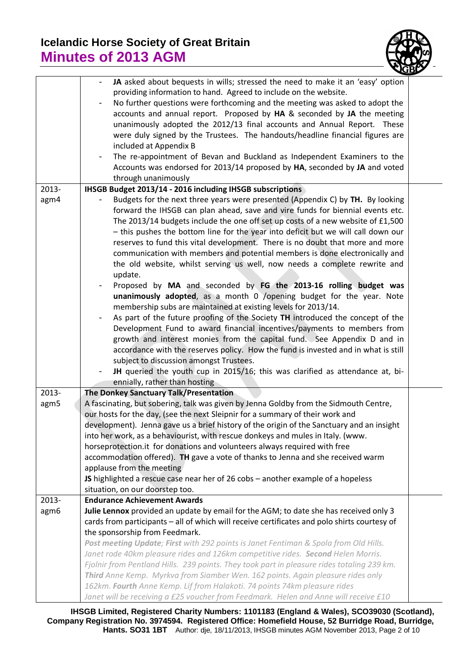

|       | JA asked about bequests in wills; stressed the need to make it an 'easy' option                      |  |  |  |  |  |
|-------|------------------------------------------------------------------------------------------------------|--|--|--|--|--|
|       | providing information to hand. Agreed to include on the website.                                     |  |  |  |  |  |
|       | No further questions were forthcoming and the meeting was asked to adopt the                         |  |  |  |  |  |
|       |                                                                                                      |  |  |  |  |  |
|       | accounts and annual report. Proposed by HA & seconded by JA the meeting                              |  |  |  |  |  |
|       | unanimously adopted the 2012/13 final accounts and Annual Report. These                              |  |  |  |  |  |
|       | were duly signed by the Trustees. The handouts/headline financial figures are                        |  |  |  |  |  |
|       | included at Appendix B                                                                               |  |  |  |  |  |
|       | The re-appointment of Bevan and Buckland as Independent Examiners to the<br>$\overline{\phantom{a}}$ |  |  |  |  |  |
|       | Accounts was endorsed for 2013/14 proposed by HA, seconded by JA and voted                           |  |  |  |  |  |
|       | through unanimously                                                                                  |  |  |  |  |  |
| 2013- | IHSGB Budget 2013/14 - 2016 including IHSGB subscriptions                                            |  |  |  |  |  |
| agm4  | Budgets for the next three years were presented (Appendix C) by TH. By looking                       |  |  |  |  |  |
|       | forward the IHSGB can plan ahead, save and vire funds for biennial events etc.                       |  |  |  |  |  |
|       | The 2013/14 budgets include the one off set up costs of a new website of £1,500                      |  |  |  |  |  |
|       | - this pushes the bottom line for the year into deficit but we will call down our                    |  |  |  |  |  |
|       | reserves to fund this vital development. There is no doubt that more and more                        |  |  |  |  |  |
|       | communication with members and potential members is done electronically and                          |  |  |  |  |  |
|       | the old website, whilst serving us well, now needs a complete rewrite and                            |  |  |  |  |  |
|       | update.                                                                                              |  |  |  |  |  |
|       | Proposed by MA and seconded by FG the 2013-16 rolling budget was                                     |  |  |  |  |  |
|       | unanimously adopted, as a month 0 /opening budget for the year. Note                                 |  |  |  |  |  |
|       | membership subs are maintained at existing levels for 2013/14.                                       |  |  |  |  |  |
|       | As part of the future proofing of the Society TH introduced the concept of the                       |  |  |  |  |  |
|       | Development Fund to award financial incentives/payments to members from                              |  |  |  |  |  |
|       | growth and interest monies from the capital fund. See Appendix D and in                              |  |  |  |  |  |
|       | accordance with the reserves policy. How the fund is invested and in what is still                   |  |  |  |  |  |
|       | subject to discussion amongst Trustees.                                                              |  |  |  |  |  |
|       | JH queried the youth cup in 2015/16; this was clarified as attendance at, bi-                        |  |  |  |  |  |
|       | ennially, rather than hosting                                                                        |  |  |  |  |  |
| 2013- | The Donkey Sanctuary Talk/Presentation                                                               |  |  |  |  |  |
| agm5  | A fascinating, but sobering, talk was given by Jenna Goldby from the Sidmouth Centre,                |  |  |  |  |  |
|       | our hosts for the day, (see the next Sleipnir for a summary of their work and                        |  |  |  |  |  |
|       | development). Jenna gave us a brief history of the origin of the Sanctuary and an insight            |  |  |  |  |  |
|       | into her work, as a behaviourist, with rescue donkeys and mules in Italy. (www.                      |  |  |  |  |  |
|       | horseprotection.it for donations and volunteers always required with free                            |  |  |  |  |  |
|       | accommodation offered). TH gave a vote of thanks to Jenna and she received warm                      |  |  |  |  |  |
|       | applause from the meeting                                                                            |  |  |  |  |  |
|       | JS highlighted a rescue case near her of 26 cobs - another example of a hopeless                     |  |  |  |  |  |
|       | situation, on our doorstep too.                                                                      |  |  |  |  |  |
| 2013- | <b>Endurance Achievement Awards</b>                                                                  |  |  |  |  |  |
| agm6  | Julie Lennox provided an update by email for the AGM; to date she has received only 3                |  |  |  |  |  |
|       | cards from participants - all of which will receive certificates and polo shirts courtesy of         |  |  |  |  |  |
|       | the sponsorship from Feedmark.                                                                       |  |  |  |  |  |
|       | Post meeting Update; First with 292 points is Janet Fentiman & Spola from Old Hills.                 |  |  |  |  |  |
|       | Janet rode 40km pleasure rides and 126km competitive rides. Second Helen Morris.                     |  |  |  |  |  |
|       | Fjolnir from Pentland Hills. 239 points. They took part in pleasure rides totaling 239 km.           |  |  |  |  |  |
|       | Third Anne Kemp. Myrkva from Siamber Wen. 162 points. Again pleasure rides only                      |  |  |  |  |  |
|       | 162km. Fourth Anne Kemp. Lif from Halakoti. 74 points 74km pleasure rides                            |  |  |  |  |  |
|       | Janet will be receiving a £25 voucher from Feedmark. Helen and Anne will receive £10                 |  |  |  |  |  |

**IHSGB Limited, Registered Charity Numbers: 1101183 (England & Wales), SCO39030 (Scotland), Company Registration No. 3974594. Registered Office: Homefield House, 52 Burridge Road, Burridge, Hants. SO31 1BT** Author: dje, 18/11/2013, IHSGB minutes AGM November 2013, Page 2 of 10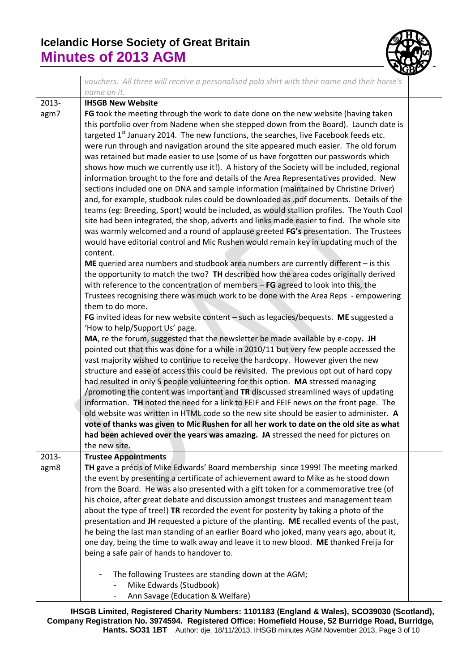

|       | vouchers. All three will receive a personalised polo shirt with their name and their horse's                      |
|-------|-------------------------------------------------------------------------------------------------------------------|
|       | name on it.                                                                                                       |
| 2013- | <b>IHSGB New Website</b>                                                                                          |
| agm7  | FG took the meeting through the work to date done on the new website (having taken                                |
|       | this portfolio over from Nadene when she stepped down from the Board). Launch date is                             |
|       | targeted 1 <sup>st</sup> January 2014. The new functions, the searches, live Facebook feeds etc.                  |
|       | were run through and navigation around the site appeared much easier. The old forum                               |
|       | was retained but made easier to use (some of us have forgotten our passwords which                                |
|       | shows how much we currently use it!). A history of the Society will be included, regional                         |
|       | information brought to the fore and details of the Area Representatives provided. New                             |
|       | sections included one on DNA and sample information (maintained by Christine Driver)                              |
|       | and, for example, studbook rules could be downloaded as .pdf documents. Details of the                            |
|       | teams (eg: Breeding, Sport) would be included, as would stallion profiles. The Youth Cool                         |
|       | site had been integrated, the shop, adverts and links made easier to find. The whole site                         |
|       | was warmly welcomed and a round of applause greeted FG's presentation. The Trustees                               |
|       | would have editorial control and Mic Rushen would remain key in updating much of the                              |
|       | content.                                                                                                          |
|       | ME queried area numbers and studbook area numbers are currently different - is this                               |
|       | the opportunity to match the two? TH described how the area codes originally derived                              |
|       | with reference to the concentration of members $-$ FG agreed to look into this, the                               |
|       | Trustees recognising there was much work to be done with the Area Reps - empowering                               |
|       | them to do more.                                                                                                  |
|       | FG invited ideas for new website content - such as legacies/bequests. ME suggested a                              |
|       | 'How to help/Support Us' page.<br>MA, re the forum, suggested that the newsletter be made available by e-copy. JH |
|       | pointed out that this was done for a while in 2010/11 but very few people accessed the                            |
|       | vast majority wished to continue to receive the hardcopy. However given the new                                   |
|       | structure and ease of access this could be revisited. The previous opt out of hard copy                           |
|       | had resulted in only 5 people volunteering for this option. MA stressed managing                                  |
|       | /promoting the content was important and TR discussed streamlined ways of updating                                |
|       | information. TH noted the need for a link to FEIF and FEIF news on the front page. The                            |
|       | old website was written in HTML code so the new site should be easier to administer. A                            |
|       | vote of thanks was given to Mic Rushen for all her work to date on the old site as what                           |
|       | had been achieved over the years was amazing. JA stressed the need for pictures on                                |
|       | the new site.                                                                                                     |
| 2013- | <b>Trustee Appointments</b>                                                                                       |
| agm8  | TH gave a précis of Mike Edwards' Board membership since 1999! The meeting marked                                 |
|       | the event by presenting a certificate of achievement award to Mike as he stood down                               |
|       | from the Board. He was also presented with a gift token for a commemorative tree (of                              |
|       | his choice, after great debate and discussion amongst trustees and management team                                |
|       | about the type of tree!) TR recorded the event for posterity by taking a photo of the                             |
|       | presentation and JH requested a picture of the planting. ME recalled events of the past,                          |
|       | he being the last man standing of an earlier Board who joked, many years ago, about it,                           |
|       | one day, being the time to walk away and leave it to new blood. ME thanked Freija for                             |
|       | being a safe pair of hands to handover to.                                                                        |
|       | The following Trustees are standing down at the AGM;                                                              |
|       | Mike Edwards (Studbook)                                                                                           |
|       | Ann Savage (Education & Welfare)                                                                                  |

**IHSGB Limited, Registered Charity Numbers: 1101183 (England & Wales), SCO39030 (Scotland), Company Registration No. 3974594. Registered Office: Homefield House, 52 Burridge Road, Burridge, Hants. SO31 1BT** Author: dje, 18/11/2013, IHSGB minutes AGM November 2013, Page 3 of 10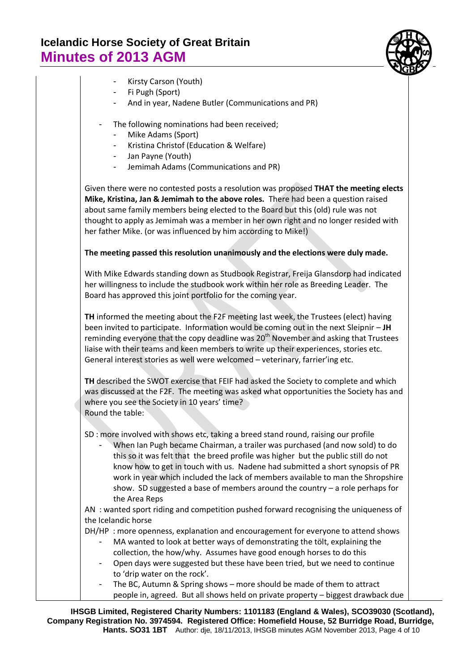

- Kirsty Carson (Youth)
- Fi Pugh (Sport)
- And in year, Nadene Butler (Communications and PR)
- The following nominations had been received;
	- Mike Adams (Sport)
	- Kristina Christof (Education & Welfare)
	- Jan Payne (Youth)
	- Jemimah Adams (Communications and PR)

Given there were no contested posts a resolution was proposed **THAT the meeting elects Mike, Kristina, Jan & Jemimah to the above roles.** There had been a question raised about same family members being elected to the Board but this (old) rule was not thought to apply as Jemimah was a member in her own right and no longer resided with her father Mike. (or was influenced by him according to Mike!)

#### **The meeting passed this resolution unanimously and the elections were duly made.**

With Mike Edwards standing down as Studbook Registrar, Freija Glansdorp had indicated her willingness to include the studbook work within her role as Breeding Leader. The Board has approved this joint portfolio for the coming year.

**TH** informed the meeting about the F2F meeting last week, the Trustees (elect) having been invited to participate. Information would be coming out in the next Sleipnir – **JH**  reminding everyone that the copy deadline was  $20<sup>th</sup>$  November and asking that Trustees liaise with their teams and keen members to write up their experiences, stories etc. General interest stories as well were welcomed – veterinary, farrier'ing etc.

**TH** described the SWOT exercise that FEIF had asked the Society to complete and which was discussed at the F2F. The meeting was asked what opportunities the Society has and where you see the Society in 10 years' time? Round the table:

SD : more involved with shows etc, taking a breed stand round, raising our profile

- When Ian Pugh became Chairman, a trailer was purchased (and now sold) to do this so it was felt that the breed profile was higher but the public still do not know how to get in touch with us. Nadene had submitted a short synopsis of PR work in year which included the lack of members available to man the Shropshire show. SD suggested a base of members around the country – a role perhaps for the Area Reps

AN : wanted sport riding and competition pushed forward recognising the uniqueness of the Icelandic horse

DH/HP : more openness, explanation and encouragement for everyone to attend shows

- MA wanted to look at better ways of demonstrating the tölt, explaining the collection, the how/why. Assumes have good enough horses to do this
- Open days were suggested but these have been tried, but we need to continue to 'drip water on the rock'.
- The BC, Autumn & Spring shows more should be made of them to attract people in, agreed. But all shows held on private property – biggest drawback due

**IHSGB Limited, Registered Charity Numbers: 1101183 (England & Wales), SCO39030 (Scotland), Company Registration No. 3974594. Registered Office: Homefield House, 52 Burridge Road, Burridge, Hants. SO31 1BT** Author: dje, 18/11/2013, IHSGB minutes AGM November 2013, Page 4 of 10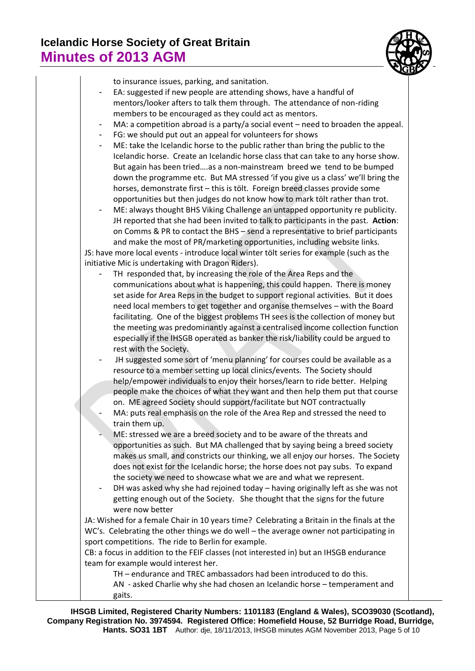

| to insurance issues, parking, and sanitation.                                                                                                                |
|--------------------------------------------------------------------------------------------------------------------------------------------------------------|
| EA: suggested if new people are attending shows, have a handful of                                                                                           |
| mentors/looker afters to talk them through. The attendance of non-riding                                                                                     |
| members to be encouraged as they could act as mentors.                                                                                                       |
| MA: a competition abroad is a party/a social event - need to broaden the appeal.                                                                             |
| FG: we should put out an appeal for volunteers for shows                                                                                                     |
| ME: take the Icelandic horse to the public rather than bring the public to the                                                                               |
| Icelandic horse. Create an Icelandic horse class that can take to any horse show.                                                                            |
| But again has been triedas a non-mainstream breed we tend to be bumped                                                                                       |
| down the programme etc. But MA stressed 'if you give us a class' we'll bring the                                                                             |
| horses, demonstrate first - this is tölt. Foreign breed classes provide some<br>opportunities but then judges do not know how to mark tölt rather than trot. |
| ME: always thought BHS Viking Challenge an untapped opportunity re publicity.                                                                                |
| JH reported that she had been invited to talk to participants in the past. Action:                                                                           |
| on Comms & PR to contact the BHS - send a representative to brief participants                                                                               |
| and make the most of PR/marketing opportunities, including website links.                                                                                    |
| JS: have more local events - introduce local winter tölt series for example (such as the                                                                     |
| initiative Mic is undertaking with Dragon Riders).                                                                                                           |
| TH responded that, by increasing the role of the Area Reps and the                                                                                           |
| communications about what is happening, this could happen. There is money                                                                                    |
| set aside for Area Reps in the budget to support regional activities. But it does                                                                            |
| need local members to get together and organise themselves - with the Board                                                                                  |
| facilitating. One of the biggest problems TH sees is the collection of money but                                                                             |
| the meeting was predominantly against a centralised income collection function                                                                               |
| especially if the IHSGB operated as banker the risk/liability could be argued to                                                                             |
| rest with the Society.                                                                                                                                       |
| JH suggested some sort of 'menu planning' for courses could be available as a                                                                                |
| resource to a member setting up local clinics/events. The Society should                                                                                     |
| help/empower individuals to enjoy their horses/learn to ride better. Helping<br>people make the choices of what they want and then help them put that course |
| on. ME agreed Society should support/facilitate but NOT contractually                                                                                        |
| MA: puts real emphasis on the role of the Area Rep and stressed the need to                                                                                  |
| train them up.                                                                                                                                               |
| ME: stressed we are a breed society and to be aware of the threats and                                                                                       |
| opportunities as such. But MA challenged that by saying being a breed society                                                                                |
| makes us small, and constricts our thinking, we all enjoy our horses. The Society                                                                            |
| does not exist for the Icelandic horse; the horse does not pay subs. To expand                                                                               |
| the society we need to showcase what we are and what we represent.                                                                                           |
| DH was asked why she had rejoined today - having originally left as she was not                                                                              |
| getting enough out of the Society. She thought that the signs for the future                                                                                 |
| were now better                                                                                                                                              |
| JA: Wished for a female Chair in 10 years time? Celebrating a Britain in the finals at the                                                                   |
| WC's. Celebrating the other things we do well - the average owner not participating in                                                                       |
| sport competitions. The ride to Berlin for example.                                                                                                          |
| CB: a focus in addition to the FEIF classes (not interested in) but an IHSGB endurance                                                                       |
| team for example would interest her.                                                                                                                         |
| TH - endurance and TREC ambassadors had been introduced to do this.                                                                                          |
| AN - asked Charlie why she had chosen an Icelandic horse - temperament and                                                                                   |
| gaits.                                                                                                                                                       |

**IHSGB Limited, Registered Charity Numbers: 1101183 (England & Wales), SCO39030 (Scotland), Company Registration No. 3974594. Registered Office: Homefield House, 52 Burridge Road, Burridge, Hants. SO31 1BT** Author: dje, 18/11/2013, IHSGB minutes AGM November 2013, Page 5 of 10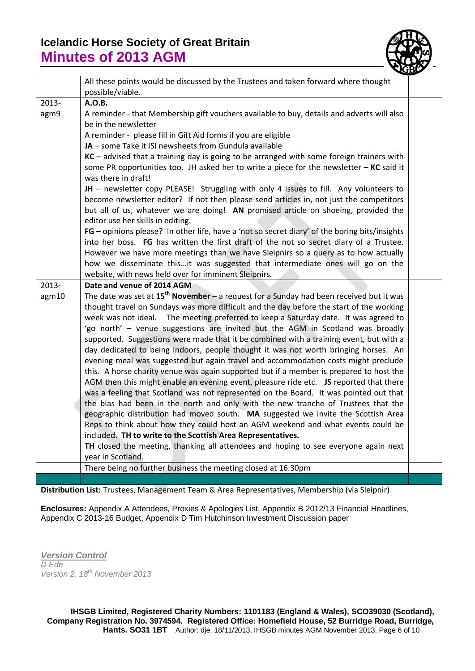

|       | All these points would be discussed by the Trustees and taken forward where thought<br>possible/viable.                                                                                                                                                                |  |
|-------|------------------------------------------------------------------------------------------------------------------------------------------------------------------------------------------------------------------------------------------------------------------------|--|
| 2013- | A.O.B.                                                                                                                                                                                                                                                                 |  |
| agm9  | A reminder - that Membership gift vouchers available to buy, details and adverts will also<br>be in the newsletter                                                                                                                                                     |  |
|       | A reminder - please fill in Gift Aid forms if you are eligible                                                                                                                                                                                                         |  |
|       | JA - some Take it ISI newsheets from Gundula available                                                                                                                                                                                                                 |  |
|       | $KC$ – advised that a training day is going to be arranged with some foreign trainers with<br>some PR opportunities too. JH asked her to write a piece for the newsletter $-$ KC said it<br>was there in draft!                                                        |  |
|       | JH - newsletter copy PLEASE! Struggling with only 4 issues to fill. Any volunteers to<br>become newsletter editor? If not then please send articles in, not just the competitors<br>but all of us, whatever we are doing! AN promised article on shoeing, provided the |  |
|       | editor use her skills in editing.                                                                                                                                                                                                                                      |  |
|       | FG - opinions please? In other life, have a 'not so secret diary' of the boring bits/insights                                                                                                                                                                          |  |
|       | into her boss. FG has written the first draft of the not so secret diary of a Trustee.                                                                                                                                                                                 |  |
|       | However we have more meetings than we have Sleipnirs so a query as to how actually                                                                                                                                                                                     |  |
|       | how we disseminate thisit was suggested that intermediate ones will go on the                                                                                                                                                                                          |  |
|       | website, with news held over for imminent Sleipnirs.                                                                                                                                                                                                                   |  |
| 2013- | Date and venue of 2014 AGM                                                                                                                                                                                                                                             |  |
| agm10 | The date was set at $15^{th}$ November - a request for a Sunday had been received but it was                                                                                                                                                                           |  |
|       | thought travel on Sundays was more difficult and the day before the start of the working                                                                                                                                                                               |  |
|       | week was not ideal. The meeting preferred to keep a Saturday date. It was agreed to                                                                                                                                                                                    |  |
|       | 'go north' - venue suggestions are invited but the AGM in Scotland was broadly                                                                                                                                                                                         |  |
|       | supported. Suggestions were made that it be combined with a training event, but with a                                                                                                                                                                                 |  |
|       | day dedicated to being indoors, people thought it was not worth bringing horses. An                                                                                                                                                                                    |  |
|       | evening meal was suggested but again travel and accommodation costs might preclude                                                                                                                                                                                     |  |
|       | this. A horse charity venue was again supported but if a member is prepared to host the                                                                                                                                                                                |  |
|       | AGM then this might enable an evening event, pleasure ride etc. JS reported that there                                                                                                                                                                                 |  |
|       | was a feeling that Scotland was not represented on the Board. It was pointed out that                                                                                                                                                                                  |  |
|       | the bias had been in the north and only with the new tranche of Trustees that the                                                                                                                                                                                      |  |
|       | geographic distribution had moved south. MA suggested we invite the Scottish Area                                                                                                                                                                                      |  |
|       | Reps to think about how they could host an AGM weekend and what events could be                                                                                                                                                                                        |  |
|       | included. TH to write to the Scottish Area Representatives.                                                                                                                                                                                                            |  |
|       | TH closed the meeting, thanking all attendees and hoping to see everyone again next                                                                                                                                                                                    |  |
|       | year in Scotland.                                                                                                                                                                                                                                                      |  |
|       | There being no further business the meeting closed at 16.30pm                                                                                                                                                                                                          |  |

**Distribution List:** Trustees, Management Team & Area Representatives, Membership (via Sleipnir)

**Enclosures:** Appendix A Attendees, Proxies & Apologies List, Appendix B 2012/13 Financial Headlines, Appendix C 2013-16 Budget, Appendix D Tim Hutchinson Investment Discussion paper

*Version Control D Ede Version 2, 18 th November 2013*

**IHSGB Limited, Registered Charity Numbers: 1101183 (England & Wales), SCO39030 (Scotland), Company Registration No. 3974594. Registered Office: Homefield House, 52 Burridge Road, Burridge, Hants. SO31 1BT** Author: dje, 18/11/2013, IHSGB minutes AGM November 2013, Page 6 of 10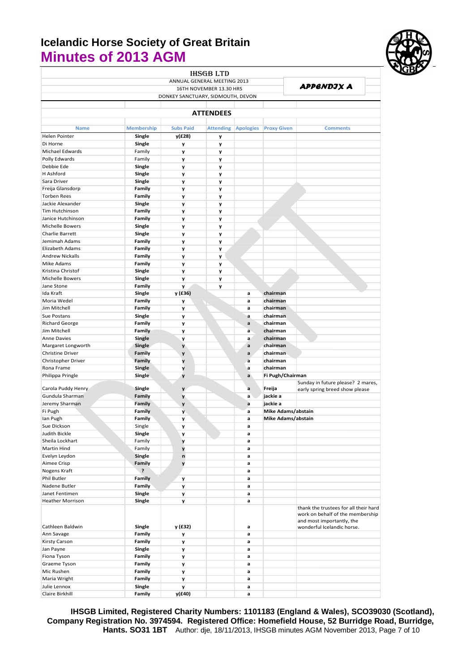

|                         |                   |                                   | <b>IHSGB LTD</b>            |                  |                    |                                                                           |
|-------------------------|-------------------|-----------------------------------|-----------------------------|------------------|--------------------|---------------------------------------------------------------------------|
|                         |                   |                                   | ANNUAL GENERAL MEETING 2013 |                  |                    |                                                                           |
|                         |                   |                                   | 16TH NOVEMBER 13.30 HRS     |                  |                    | APPENDJX A                                                                |
|                         |                   | DONKEY SANCTUARY, SIDMOUTH, DEVON |                             |                  |                    |                                                                           |
|                         |                   |                                   |                             |                  |                    |                                                                           |
|                         |                   |                                   | <b>ATTENDEES</b>            |                  |                    |                                                                           |
|                         |                   |                                   |                             |                  |                    |                                                                           |
| <b>Name</b>             | <b>Membership</b> | <b>Subs Paid</b>                  | <b>Attending</b>            | <b>Apologies</b> | <b>Proxy Given</b> | <b>Comments</b>                                                           |
|                         |                   |                                   |                             |                  |                    |                                                                           |
| <b>Helen Pointer</b>    | Single            | y(£28)                            | y                           |                  |                    |                                                                           |
| Di Horne                | Single            | y                                 | у                           |                  |                    |                                                                           |
| Michael Edwards         | Family            | y                                 | y                           |                  |                    |                                                                           |
| Polly Edwards           | Family            | y                                 | y                           |                  |                    |                                                                           |
| Debbie Ede              | Single            | y                                 | y                           |                  |                    |                                                                           |
| H Ashford               | Single            | y                                 | y                           |                  |                    |                                                                           |
| Sara Driver             | Single            | y                                 | y                           |                  |                    |                                                                           |
| Freija Glansdorp        | Family            | y                                 | y                           |                  |                    |                                                                           |
| <b>Torben Rees</b>      | Family            | y                                 | y                           |                  |                    |                                                                           |
| Jackie Alexander        | Single            | y                                 | y                           |                  |                    |                                                                           |
| Tim Hutchinson          | Family            | y                                 | y                           |                  |                    |                                                                           |
| Janice Hutchinson       | Family            | y                                 | y                           |                  |                    |                                                                           |
| <b>Michelle Bowers</b>  | Single            | y                                 | y                           |                  |                    |                                                                           |
| Charlie Barrett         | Single            | y                                 | y                           |                  |                    |                                                                           |
| Jemimah Adams           | Family            | y                                 | y                           |                  |                    |                                                                           |
| Elizabeth Adams         | Family            |                                   |                             |                  |                    |                                                                           |
|                         |                   | y                                 | y                           |                  |                    |                                                                           |
| <b>Andrew Nickalls</b>  | Family            | y                                 | y                           |                  |                    |                                                                           |
| Mike Adams              | Family            | y                                 | у                           |                  |                    |                                                                           |
| Kristina Christof       | Single            | У                                 | У                           |                  |                    |                                                                           |
| Michelle Bowers         | Single            | y                                 | y                           |                  |                    |                                                                           |
| Jane Stone              | Family            | y                                 | y                           |                  |                    |                                                                           |
| Ida Kraft               | Single            | y (£36)                           |                             | a                | chairman           |                                                                           |
| Moria Wedel             | Family            | y                                 |                             | a                | chairman           |                                                                           |
| Jim Mitchell            | Family            | y                                 |                             | a                | chairman           |                                                                           |
| Sue Postans             | Single            | y                                 |                             | a                | chairman           |                                                                           |
| <b>Richard George</b>   | Family            | y                                 |                             | a                | chairman           |                                                                           |
| Jim Mitchell            | Family            | y                                 |                             | a                | chairman           |                                                                           |
| <b>Anne Davies</b>      | Single            | y                                 |                             | a                | chairman           |                                                                           |
| Margaret Longworth      | <b>Single</b>     | y                                 |                             | a                | chairman           |                                                                           |
| Christine Driver        | Family            | y                                 |                             | a                | chairman           |                                                                           |
| Christopher Driver      | Family            | y                                 |                             | a                | chairman           |                                                                           |
| Rona Frame              | Single            | y                                 |                             | а                | chairman           |                                                                           |
|                         |                   |                                   |                             | a                | Fi Pugh/Chairman   |                                                                           |
| Philippa Pringle        | Single            | y                                 |                             |                  |                    | Sunday in future please? 2 mares,                                         |
| Carola Puddy Henry      | Single            | y                                 |                             | a                | Freija             | early spring breed show please                                            |
| Gundula Sharman         | Family            | y                                 |                             | a                | jackie a           |                                                                           |
| Jeremy Sharman          | Family            | y                                 |                             | a                | jackie a           |                                                                           |
| Fi Pugh                 | Family            | У                                 |                             | a                | Mike Adams/abstain |                                                                           |
| Ian Pugh                | Family            |                                   |                             | a                | Mike Adams/abstain |                                                                           |
|                         |                   | y                                 |                             | a                |                    |                                                                           |
| Sue Dickson             | Single            | y                                 |                             |                  |                    |                                                                           |
| Judith Bickle           | Single            | y                                 |                             | a                |                    |                                                                           |
| Sheila Lockhart         | Family            | y                                 |                             | a                |                    |                                                                           |
| Martin Hind             | Family            | y                                 |                             | a                |                    |                                                                           |
| Evelyn Leydon           | Single            | n                                 |                             | a                |                    |                                                                           |
| Aimee Crisp             | Family            | y                                 |                             | a                |                    |                                                                           |
| Nogens Kraft            | ė.                |                                   |                             | a                |                    |                                                                           |
| Phil Butler             | Family            | y                                 |                             | a                |                    |                                                                           |
| Nadene Butler           | Family            | y                                 |                             | a                |                    |                                                                           |
| Janet Fentimen          | Single            | y                                 |                             | a                |                    |                                                                           |
| <b>Heather Morrison</b> | Single            | y                                 |                             | a                |                    |                                                                           |
|                         |                   |                                   |                             |                  |                    | thank the trustees for all their hard<br>work on behalf of the membership |
| Cathleen Baldwin        | Single            | y (£32)                           |                             | a                |                    | and most importantly, the<br>wonderful Icelandic horse.                   |
| Ann Savage              | Family            |                                   |                             | a                |                    |                                                                           |
|                         |                   | y                                 |                             |                  |                    |                                                                           |
| Kirsty Carson           | Family            | y                                 |                             | a                |                    |                                                                           |
| Jan Payne               | Single            | y                                 |                             | a                |                    |                                                                           |
| Fiona Tyson             | Family            | y                                 |                             | a                |                    |                                                                           |
| Graeme Tyson            | Family            | y                                 |                             | a                |                    |                                                                           |
| Mic Rushen              | Family            | y                                 |                             | $\mathbf a$      |                    |                                                                           |
| Maria Wright            | Family            | y                                 |                             | a                |                    |                                                                           |
| Julie Lennox            | Single            | y                                 |                             | a                |                    |                                                                           |
| Claire Birkhill         | Family            | y(£40)                            |                             | a                |                    |                                                                           |

**IHSGB Limited, Registered Charity Numbers: 1101183 (England & Wales), SCO39030 (Scotland), Company Registration No. 3974594. Registered Office: Homefield House, 52 Burridge Road, Burridge, Hants. SO31 1BT** Author: dje, 18/11/2013, IHSGB minutes AGM November 2013, Page 7 of 10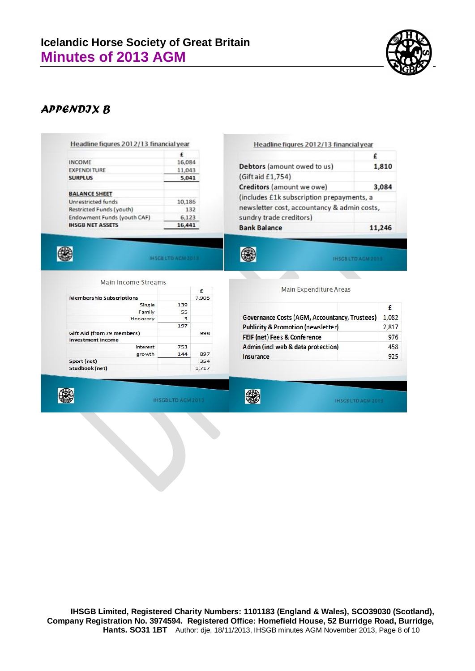

#### *APPENDIX B*

#### Headline figures 2012/13 financial year

|                             | £      |
|-----------------------------|--------|
| <b>INCOME</b>               | 16,084 |
| <b>EXPENDITURE</b>          | 11,043 |
| <b>SURPLUS</b>              | 5,041  |
| <b>BALANCE SHEET</b>        |        |
| Unrestricted funds          | 10,186 |
| Restricted Funds (youth)    | 132    |
| Endowment Funds (youth CAF) | 6,123  |
| <b>IHSGB NET ASSETS</b>     | 16,441 |

#### Headline figures 2012/13 financial year

| Debtors (amount owed to us)                 | 1,810  |
|---------------------------------------------|--------|
|                                             |        |
| (Gift aid £1,754)                           |        |
| Creditors (amount we owe)                   | 3.084  |
| (includes £1k subscription prepayments, a   |        |
| newsletter cost, accountancy & admin costs, |        |
| sundry trade creditors)                     |        |
| <b>Bank Balance</b>                         | 11,246 |

**INSGRETO AGM 3613** 

IHSGB LTD AGM 2013

**Main Income Streams** 

|                                 |     | £     |
|---------------------------------|-----|-------|
| <b>Membership Subscriptions</b> |     | 7,905 |
| Single                          | 139 |       |
| Family                          | 55  |       |
| Honorary                        | 3   |       |
|                                 | 197 |       |
| Gift Aid (from 79 members)      |     | 998   |
| <b>Investment Income</b>        |     |       |
| interest                        | 753 |       |
| growth                          | 144 | 897   |
| Sport (net)                     |     | 354   |
| Studbook (net)                  |     | 1.717 |

|                                               | £     |
|-----------------------------------------------|-------|
| Governance Costs (AGM, Accountancy, Trustees) | 1,082 |
| <b>Publicity &amp; Promotion (newsletter)</b> | 2,817 |
| FEIF (net) Fees & Conference                  | 976   |
| Admin (incl web & data protection)            | 458   |
| Insurance                                     | 925   |

Main Expenditure Areas



4

**IHSGBLTD AGM 2013** 

0

4

IHSGB LTD AGM 2013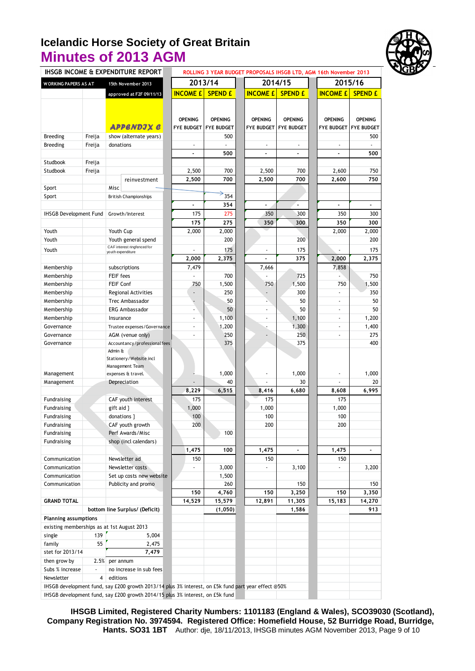

| 2014/15<br>2013/14<br>2015/16<br><b>WORKING PAPERS AS AT</b><br>15th November 2013<br><b>INCOME £</b><br><b>INCOME £</b><br><b>INCOME £</b><br><b>SPEND £</b><br><b>SPEND £</b><br><b>SPEND £</b><br>approved at F2F 09/11/13<br><b>OPENING</b><br><b>OPENING</b><br><b>OPENING</b><br><b>OPENING</b><br><b>OPENING</b><br><b>OPENING</b><br><b>APPENDJX C</b><br><b>FYE BUDGET</b><br><b>FYE BUDGET</b><br><b>FYE BUDGET</b><br><b>FYE BUDGET</b><br><b>FYE BUDGET</b><br><b>Breeding</b><br>Freija<br>show (alternate years)<br>500<br><b>Breeding</b><br>Freija<br>donations<br>500<br>500<br>Studbook<br>Freija<br>Studbook<br>2,500<br>700<br>2,500<br>700<br>2,600<br>750<br>Freija<br>2,500<br>700<br>700<br>2,500<br>2,600<br>reinvestment<br>Sport<br>Misc<br>354<br>Sport<br><b>British Championships</b><br>354<br>$\overline{\phantom{a}}$<br>÷<br>$\blacksquare$<br>350<br><b>IHSGB Development Fund</b><br>175<br>275<br>300<br>350<br>300<br>Growth/Interest<br>175<br>275<br>350<br>300<br>350<br>300<br>Youth<br>Youth Cup<br>2,000<br>2,000<br>2,000<br>2,000<br>Youth<br>200<br>200<br>Youth general spend<br>CAF interest ringfenced for<br>Youth<br>175<br>175<br>175<br>youth expenditure<br>2,375<br>375<br>2,000<br>2,000<br>2.375<br>7,858<br>7,479<br>7,666<br>Membership<br>subscriptions<br>FEIF fees<br>Membership<br>700<br>725<br>750<br>1,500<br>1,500<br>Membership<br><b>FEIF Conf</b><br>750<br>750<br>750<br>1,500<br>250<br>300<br>Membership<br>Regional Activities<br>ä,<br>50<br>50<br>50<br>Membership<br>Trec Ambassador<br>$\blacksquare$<br>50<br>50<br><b>ERG Ambassador</b><br>50<br>Membership<br>1,100<br>1,100<br>1,200<br>Membership<br>Insurance<br>٠<br>$\blacksquare$<br>$\blacksquare$<br>1,300<br>1,200<br>1,400<br>Governance<br>Trustee expenses/Governance<br>٠<br>÷<br>$\blacksquare$<br>250<br>250<br>AGM (venue only)<br>275<br>Governance<br>ä,<br>ä,<br>375<br>375<br>400<br>Governance<br>Accountancy/professional fees<br>Admin &<br>Stationery/Website incl<br>Management Team<br>1,000<br>1,000<br>1,000<br>Management<br>expenses & travel.<br>30<br>40<br>20<br>Management<br>Depreciation<br>6,515<br>6,995<br>8,229<br>8,416<br>6,680<br>8,608<br>CAF youth interest<br>175<br>175<br>175<br>Fundraising<br>1,000<br>gift aid }<br>1,000<br>1,000<br>Fundraising<br>100<br>100<br>100<br>donations }<br>Fundraising<br>200<br>200<br>200<br>CAF youth growth<br>Fundraising<br>100<br>Fundraising<br>Perf Awards/Misc<br>Fundraising<br>shop (incl calendars)<br>1,475<br>100<br>1,475<br>1,475<br>$\blacksquare$<br>$\blacksquare$<br>Newsletter ad<br>150<br>Communication<br>150<br>150<br>3,000<br>Communication<br>Newsletter costs<br>3,100<br>3,200<br>Communication<br>Set up costs new website<br>1,500<br>Communication<br>Publicity and promo<br>260<br>150<br>150<br>4,760<br>3,250<br>3,350<br>150<br>150<br>150<br><b>GRAND TOTAL</b><br>14,529<br>15,579<br>12,891<br>11,305<br>15,183<br>14,270<br>bottom line Surplus/ (Deficit)<br>(1,050)<br>1,586<br>913<br>Planning assumptions<br>existing memberships as at 1st August 2013<br>139<br>single<br>5,004<br>55<br>family<br>2,475<br>stet for 2013/14<br>7,479<br>then grow by<br>2.5% per annum<br>Subs % increase<br>no increase in sub fees<br>$\overline{4}$<br>Newsletter<br>editions<br>IHSGB development fund, say £200 growth 2013/14 plus 3% interest, on £5k fund part year effect @50%<br>IHSGB development fund, say £200 growth 2014/15 plus 3% interest, on £5k fund | IHSGB INCOME & EXPENDITURE REPORT |  |  |  |  | ROLLING 3 YEAR BUDGET PROPOSALS IHSGB LTD, AGM 16th November 2013 |  |                   |  |
|-------------------------------------------------------------------------------------------------------------------------------------------------------------------------------------------------------------------------------------------------------------------------------------------------------------------------------------------------------------------------------------------------------------------------------------------------------------------------------------------------------------------------------------------------------------------------------------------------------------------------------------------------------------------------------------------------------------------------------------------------------------------------------------------------------------------------------------------------------------------------------------------------------------------------------------------------------------------------------------------------------------------------------------------------------------------------------------------------------------------------------------------------------------------------------------------------------------------------------------------------------------------------------------------------------------------------------------------------------------------------------------------------------------------------------------------------------------------------------------------------------------------------------------------------------------------------------------------------------------------------------------------------------------------------------------------------------------------------------------------------------------------------------------------------------------------------------------------------------------------------------------------------------------------------------------------------------------------------------------------------------------------------------------------------------------------------------------------------------------------------------------------------------------------------------------------------------------------------------------------------------------------------------------------------------------------------------------------------------------------------------------------------------------------------------------------------------------------------------------------------------------------------------------------------------------------------------------------------------------------------------------------------------------------------------------------------------------------------------------------------------------------------------------------------------------------------------------------------------------------------------------------------------------------------------------------------------------------------------------------------------------------------------------------------------------------------------------------------------------------------------------------------------------------------------------------------------------------------------------------------------------------------------------------------------------------------------------------------------------------------------------------------------------------------------------------------------------------------------------------------------------------------------|-----------------------------------|--|--|--|--|-------------------------------------------------------------------|--|-------------------|--|
|                                                                                                                                                                                                                                                                                                                                                                                                                                                                                                                                                                                                                                                                                                                                                                                                                                                                                                                                                                                                                                                                                                                                                                                                                                                                                                                                                                                                                                                                                                                                                                                                                                                                                                                                                                                                                                                                                                                                                                                                                                                                                                                                                                                                                                                                                                                                                                                                                                                                                                                                                                                                                                                                                                                                                                                                                                                                                                                                                                                                                                                                                                                                                                                                                                                                                                                                                                                                                                                                                                                               |                                   |  |  |  |  |                                                                   |  |                   |  |
|                                                                                                                                                                                                                                                                                                                                                                                                                                                                                                                                                                                                                                                                                                                                                                                                                                                                                                                                                                                                                                                                                                                                                                                                                                                                                                                                                                                                                                                                                                                                                                                                                                                                                                                                                                                                                                                                                                                                                                                                                                                                                                                                                                                                                                                                                                                                                                                                                                                                                                                                                                                                                                                                                                                                                                                                                                                                                                                                                                                                                                                                                                                                                                                                                                                                                                                                                                                                                                                                                                                               |                                   |  |  |  |  |                                                                   |  |                   |  |
|                                                                                                                                                                                                                                                                                                                                                                                                                                                                                                                                                                                                                                                                                                                                                                                                                                                                                                                                                                                                                                                                                                                                                                                                                                                                                                                                                                                                                                                                                                                                                                                                                                                                                                                                                                                                                                                                                                                                                                                                                                                                                                                                                                                                                                                                                                                                                                                                                                                                                                                                                                                                                                                                                                                                                                                                                                                                                                                                                                                                                                                                                                                                                                                                                                                                                                                                                                                                                                                                                                                               |                                   |  |  |  |  |                                                                   |  |                   |  |
|                                                                                                                                                                                                                                                                                                                                                                                                                                                                                                                                                                                                                                                                                                                                                                                                                                                                                                                                                                                                                                                                                                                                                                                                                                                                                                                                                                                                                                                                                                                                                                                                                                                                                                                                                                                                                                                                                                                                                                                                                                                                                                                                                                                                                                                                                                                                                                                                                                                                                                                                                                                                                                                                                                                                                                                                                                                                                                                                                                                                                                                                                                                                                                                                                                                                                                                                                                                                                                                                                                                               |                                   |  |  |  |  |                                                                   |  |                   |  |
|                                                                                                                                                                                                                                                                                                                                                                                                                                                                                                                                                                                                                                                                                                                                                                                                                                                                                                                                                                                                                                                                                                                                                                                                                                                                                                                                                                                                                                                                                                                                                                                                                                                                                                                                                                                                                                                                                                                                                                                                                                                                                                                                                                                                                                                                                                                                                                                                                                                                                                                                                                                                                                                                                                                                                                                                                                                                                                                                                                                                                                                                                                                                                                                                                                                                                                                                                                                                                                                                                                                               |                                   |  |  |  |  |                                                                   |  |                   |  |
|                                                                                                                                                                                                                                                                                                                                                                                                                                                                                                                                                                                                                                                                                                                                                                                                                                                                                                                                                                                                                                                                                                                                                                                                                                                                                                                                                                                                                                                                                                                                                                                                                                                                                                                                                                                                                                                                                                                                                                                                                                                                                                                                                                                                                                                                                                                                                                                                                                                                                                                                                                                                                                                                                                                                                                                                                                                                                                                                                                                                                                                                                                                                                                                                                                                                                                                                                                                                                                                                                                                               |                                   |  |  |  |  |                                                                   |  | <b>FYE BUDGET</b> |  |
|                                                                                                                                                                                                                                                                                                                                                                                                                                                                                                                                                                                                                                                                                                                                                                                                                                                                                                                                                                                                                                                                                                                                                                                                                                                                                                                                                                                                                                                                                                                                                                                                                                                                                                                                                                                                                                                                                                                                                                                                                                                                                                                                                                                                                                                                                                                                                                                                                                                                                                                                                                                                                                                                                                                                                                                                                                                                                                                                                                                                                                                                                                                                                                                                                                                                                                                                                                                                                                                                                                                               |                                   |  |  |  |  |                                                                   |  | 500               |  |
|                                                                                                                                                                                                                                                                                                                                                                                                                                                                                                                                                                                                                                                                                                                                                                                                                                                                                                                                                                                                                                                                                                                                                                                                                                                                                                                                                                                                                                                                                                                                                                                                                                                                                                                                                                                                                                                                                                                                                                                                                                                                                                                                                                                                                                                                                                                                                                                                                                                                                                                                                                                                                                                                                                                                                                                                                                                                                                                                                                                                                                                                                                                                                                                                                                                                                                                                                                                                                                                                                                                               |                                   |  |  |  |  |                                                                   |  |                   |  |
|                                                                                                                                                                                                                                                                                                                                                                                                                                                                                                                                                                                                                                                                                                                                                                                                                                                                                                                                                                                                                                                                                                                                                                                                                                                                                                                                                                                                                                                                                                                                                                                                                                                                                                                                                                                                                                                                                                                                                                                                                                                                                                                                                                                                                                                                                                                                                                                                                                                                                                                                                                                                                                                                                                                                                                                                                                                                                                                                                                                                                                                                                                                                                                                                                                                                                                                                                                                                                                                                                                                               |                                   |  |  |  |  |                                                                   |  |                   |  |
|                                                                                                                                                                                                                                                                                                                                                                                                                                                                                                                                                                                                                                                                                                                                                                                                                                                                                                                                                                                                                                                                                                                                                                                                                                                                                                                                                                                                                                                                                                                                                                                                                                                                                                                                                                                                                                                                                                                                                                                                                                                                                                                                                                                                                                                                                                                                                                                                                                                                                                                                                                                                                                                                                                                                                                                                                                                                                                                                                                                                                                                                                                                                                                                                                                                                                                                                                                                                                                                                                                                               |                                   |  |  |  |  |                                                                   |  |                   |  |
|                                                                                                                                                                                                                                                                                                                                                                                                                                                                                                                                                                                                                                                                                                                                                                                                                                                                                                                                                                                                                                                                                                                                                                                                                                                                                                                                                                                                                                                                                                                                                                                                                                                                                                                                                                                                                                                                                                                                                                                                                                                                                                                                                                                                                                                                                                                                                                                                                                                                                                                                                                                                                                                                                                                                                                                                                                                                                                                                                                                                                                                                                                                                                                                                                                                                                                                                                                                                                                                                                                                               |                                   |  |  |  |  |                                                                   |  |                   |  |
|                                                                                                                                                                                                                                                                                                                                                                                                                                                                                                                                                                                                                                                                                                                                                                                                                                                                                                                                                                                                                                                                                                                                                                                                                                                                                                                                                                                                                                                                                                                                                                                                                                                                                                                                                                                                                                                                                                                                                                                                                                                                                                                                                                                                                                                                                                                                                                                                                                                                                                                                                                                                                                                                                                                                                                                                                                                                                                                                                                                                                                                                                                                                                                                                                                                                                                                                                                                                                                                                                                                               |                                   |  |  |  |  |                                                                   |  | 750               |  |
|                                                                                                                                                                                                                                                                                                                                                                                                                                                                                                                                                                                                                                                                                                                                                                                                                                                                                                                                                                                                                                                                                                                                                                                                                                                                                                                                                                                                                                                                                                                                                                                                                                                                                                                                                                                                                                                                                                                                                                                                                                                                                                                                                                                                                                                                                                                                                                                                                                                                                                                                                                                                                                                                                                                                                                                                                                                                                                                                                                                                                                                                                                                                                                                                                                                                                                                                                                                                                                                                                                                               |                                   |  |  |  |  |                                                                   |  |                   |  |
|                                                                                                                                                                                                                                                                                                                                                                                                                                                                                                                                                                                                                                                                                                                                                                                                                                                                                                                                                                                                                                                                                                                                                                                                                                                                                                                                                                                                                                                                                                                                                                                                                                                                                                                                                                                                                                                                                                                                                                                                                                                                                                                                                                                                                                                                                                                                                                                                                                                                                                                                                                                                                                                                                                                                                                                                                                                                                                                                                                                                                                                                                                                                                                                                                                                                                                                                                                                                                                                                                                                               |                                   |  |  |  |  |                                                                   |  |                   |  |
|                                                                                                                                                                                                                                                                                                                                                                                                                                                                                                                                                                                                                                                                                                                                                                                                                                                                                                                                                                                                                                                                                                                                                                                                                                                                                                                                                                                                                                                                                                                                                                                                                                                                                                                                                                                                                                                                                                                                                                                                                                                                                                                                                                                                                                                                                                                                                                                                                                                                                                                                                                                                                                                                                                                                                                                                                                                                                                                                                                                                                                                                                                                                                                                                                                                                                                                                                                                                                                                                                                                               |                                   |  |  |  |  |                                                                   |  |                   |  |
|                                                                                                                                                                                                                                                                                                                                                                                                                                                                                                                                                                                                                                                                                                                                                                                                                                                                                                                                                                                                                                                                                                                                                                                                                                                                                                                                                                                                                                                                                                                                                                                                                                                                                                                                                                                                                                                                                                                                                                                                                                                                                                                                                                                                                                                                                                                                                                                                                                                                                                                                                                                                                                                                                                                                                                                                                                                                                                                                                                                                                                                                                                                                                                                                                                                                                                                                                                                                                                                                                                                               |                                   |  |  |  |  |                                                                   |  |                   |  |
|                                                                                                                                                                                                                                                                                                                                                                                                                                                                                                                                                                                                                                                                                                                                                                                                                                                                                                                                                                                                                                                                                                                                                                                                                                                                                                                                                                                                                                                                                                                                                                                                                                                                                                                                                                                                                                                                                                                                                                                                                                                                                                                                                                                                                                                                                                                                                                                                                                                                                                                                                                                                                                                                                                                                                                                                                                                                                                                                                                                                                                                                                                                                                                                                                                                                                                                                                                                                                                                                                                                               |                                   |  |  |  |  |                                                                   |  |                   |  |
|                                                                                                                                                                                                                                                                                                                                                                                                                                                                                                                                                                                                                                                                                                                                                                                                                                                                                                                                                                                                                                                                                                                                                                                                                                                                                                                                                                                                                                                                                                                                                                                                                                                                                                                                                                                                                                                                                                                                                                                                                                                                                                                                                                                                                                                                                                                                                                                                                                                                                                                                                                                                                                                                                                                                                                                                                                                                                                                                                                                                                                                                                                                                                                                                                                                                                                                                                                                                                                                                                                                               |                                   |  |  |  |  |                                                                   |  |                   |  |
|                                                                                                                                                                                                                                                                                                                                                                                                                                                                                                                                                                                                                                                                                                                                                                                                                                                                                                                                                                                                                                                                                                                                                                                                                                                                                                                                                                                                                                                                                                                                                                                                                                                                                                                                                                                                                                                                                                                                                                                                                                                                                                                                                                                                                                                                                                                                                                                                                                                                                                                                                                                                                                                                                                                                                                                                                                                                                                                                                                                                                                                                                                                                                                                                                                                                                                                                                                                                                                                                                                                               |                                   |  |  |  |  |                                                                   |  | 200               |  |
|                                                                                                                                                                                                                                                                                                                                                                                                                                                                                                                                                                                                                                                                                                                                                                                                                                                                                                                                                                                                                                                                                                                                                                                                                                                                                                                                                                                                                                                                                                                                                                                                                                                                                                                                                                                                                                                                                                                                                                                                                                                                                                                                                                                                                                                                                                                                                                                                                                                                                                                                                                                                                                                                                                                                                                                                                                                                                                                                                                                                                                                                                                                                                                                                                                                                                                                                                                                                                                                                                                                               |                                   |  |  |  |  |                                                                   |  |                   |  |
|                                                                                                                                                                                                                                                                                                                                                                                                                                                                                                                                                                                                                                                                                                                                                                                                                                                                                                                                                                                                                                                                                                                                                                                                                                                                                                                                                                                                                                                                                                                                                                                                                                                                                                                                                                                                                                                                                                                                                                                                                                                                                                                                                                                                                                                                                                                                                                                                                                                                                                                                                                                                                                                                                                                                                                                                                                                                                                                                                                                                                                                                                                                                                                                                                                                                                                                                                                                                                                                                                                                               |                                   |  |  |  |  |                                                                   |  |                   |  |
|                                                                                                                                                                                                                                                                                                                                                                                                                                                                                                                                                                                                                                                                                                                                                                                                                                                                                                                                                                                                                                                                                                                                                                                                                                                                                                                                                                                                                                                                                                                                                                                                                                                                                                                                                                                                                                                                                                                                                                                                                                                                                                                                                                                                                                                                                                                                                                                                                                                                                                                                                                                                                                                                                                                                                                                                                                                                                                                                                                                                                                                                                                                                                                                                                                                                                                                                                                                                                                                                                                                               |                                   |  |  |  |  |                                                                   |  |                   |  |
|                                                                                                                                                                                                                                                                                                                                                                                                                                                                                                                                                                                                                                                                                                                                                                                                                                                                                                                                                                                                                                                                                                                                                                                                                                                                                                                                                                                                                                                                                                                                                                                                                                                                                                                                                                                                                                                                                                                                                                                                                                                                                                                                                                                                                                                                                                                                                                                                                                                                                                                                                                                                                                                                                                                                                                                                                                                                                                                                                                                                                                                                                                                                                                                                                                                                                                                                                                                                                                                                                                                               |                                   |  |  |  |  |                                                                   |  |                   |  |
|                                                                                                                                                                                                                                                                                                                                                                                                                                                                                                                                                                                                                                                                                                                                                                                                                                                                                                                                                                                                                                                                                                                                                                                                                                                                                                                                                                                                                                                                                                                                                                                                                                                                                                                                                                                                                                                                                                                                                                                                                                                                                                                                                                                                                                                                                                                                                                                                                                                                                                                                                                                                                                                                                                                                                                                                                                                                                                                                                                                                                                                                                                                                                                                                                                                                                                                                                                                                                                                                                                                               |                                   |  |  |  |  |                                                                   |  |                   |  |
|                                                                                                                                                                                                                                                                                                                                                                                                                                                                                                                                                                                                                                                                                                                                                                                                                                                                                                                                                                                                                                                                                                                                                                                                                                                                                                                                                                                                                                                                                                                                                                                                                                                                                                                                                                                                                                                                                                                                                                                                                                                                                                                                                                                                                                                                                                                                                                                                                                                                                                                                                                                                                                                                                                                                                                                                                                                                                                                                                                                                                                                                                                                                                                                                                                                                                                                                                                                                                                                                                                                               |                                   |  |  |  |  |                                                                   |  | 350               |  |
|                                                                                                                                                                                                                                                                                                                                                                                                                                                                                                                                                                                                                                                                                                                                                                                                                                                                                                                                                                                                                                                                                                                                                                                                                                                                                                                                                                                                                                                                                                                                                                                                                                                                                                                                                                                                                                                                                                                                                                                                                                                                                                                                                                                                                                                                                                                                                                                                                                                                                                                                                                                                                                                                                                                                                                                                                                                                                                                                                                                                                                                                                                                                                                                                                                                                                                                                                                                                                                                                                                                               |                                   |  |  |  |  |                                                                   |  |                   |  |
|                                                                                                                                                                                                                                                                                                                                                                                                                                                                                                                                                                                                                                                                                                                                                                                                                                                                                                                                                                                                                                                                                                                                                                                                                                                                                                                                                                                                                                                                                                                                                                                                                                                                                                                                                                                                                                                                                                                                                                                                                                                                                                                                                                                                                                                                                                                                                                                                                                                                                                                                                                                                                                                                                                                                                                                                                                                                                                                                                                                                                                                                                                                                                                                                                                                                                                                                                                                                                                                                                                                               |                                   |  |  |  |  |                                                                   |  |                   |  |
|                                                                                                                                                                                                                                                                                                                                                                                                                                                                                                                                                                                                                                                                                                                                                                                                                                                                                                                                                                                                                                                                                                                                                                                                                                                                                                                                                                                                                                                                                                                                                                                                                                                                                                                                                                                                                                                                                                                                                                                                                                                                                                                                                                                                                                                                                                                                                                                                                                                                                                                                                                                                                                                                                                                                                                                                                                                                                                                                                                                                                                                                                                                                                                                                                                                                                                                                                                                                                                                                                                                               |                                   |  |  |  |  |                                                                   |  |                   |  |
|                                                                                                                                                                                                                                                                                                                                                                                                                                                                                                                                                                                                                                                                                                                                                                                                                                                                                                                                                                                                                                                                                                                                                                                                                                                                                                                                                                                                                                                                                                                                                                                                                                                                                                                                                                                                                                                                                                                                                                                                                                                                                                                                                                                                                                                                                                                                                                                                                                                                                                                                                                                                                                                                                                                                                                                                                                                                                                                                                                                                                                                                                                                                                                                                                                                                                                                                                                                                                                                                                                                               |                                   |  |  |  |  |                                                                   |  |                   |  |
|                                                                                                                                                                                                                                                                                                                                                                                                                                                                                                                                                                                                                                                                                                                                                                                                                                                                                                                                                                                                                                                                                                                                                                                                                                                                                                                                                                                                                                                                                                                                                                                                                                                                                                                                                                                                                                                                                                                                                                                                                                                                                                                                                                                                                                                                                                                                                                                                                                                                                                                                                                                                                                                                                                                                                                                                                                                                                                                                                                                                                                                                                                                                                                                                                                                                                                                                                                                                                                                                                                                               |                                   |  |  |  |  |                                                                   |  |                   |  |
|                                                                                                                                                                                                                                                                                                                                                                                                                                                                                                                                                                                                                                                                                                                                                                                                                                                                                                                                                                                                                                                                                                                                                                                                                                                                                                                                                                                                                                                                                                                                                                                                                                                                                                                                                                                                                                                                                                                                                                                                                                                                                                                                                                                                                                                                                                                                                                                                                                                                                                                                                                                                                                                                                                                                                                                                                                                                                                                                                                                                                                                                                                                                                                                                                                                                                                                                                                                                                                                                                                                               |                                   |  |  |  |  |                                                                   |  |                   |  |
|                                                                                                                                                                                                                                                                                                                                                                                                                                                                                                                                                                                                                                                                                                                                                                                                                                                                                                                                                                                                                                                                                                                                                                                                                                                                                                                                                                                                                                                                                                                                                                                                                                                                                                                                                                                                                                                                                                                                                                                                                                                                                                                                                                                                                                                                                                                                                                                                                                                                                                                                                                                                                                                                                                                                                                                                                                                                                                                                                                                                                                                                                                                                                                                                                                                                                                                                                                                                                                                                                                                               |                                   |  |  |  |  |                                                                   |  |                   |  |
|                                                                                                                                                                                                                                                                                                                                                                                                                                                                                                                                                                                                                                                                                                                                                                                                                                                                                                                                                                                                                                                                                                                                                                                                                                                                                                                                                                                                                                                                                                                                                                                                                                                                                                                                                                                                                                                                                                                                                                                                                                                                                                                                                                                                                                                                                                                                                                                                                                                                                                                                                                                                                                                                                                                                                                                                                                                                                                                                                                                                                                                                                                                                                                                                                                                                                                                                                                                                                                                                                                                               |                                   |  |  |  |  |                                                                   |  |                   |  |
|                                                                                                                                                                                                                                                                                                                                                                                                                                                                                                                                                                                                                                                                                                                                                                                                                                                                                                                                                                                                                                                                                                                                                                                                                                                                                                                                                                                                                                                                                                                                                                                                                                                                                                                                                                                                                                                                                                                                                                                                                                                                                                                                                                                                                                                                                                                                                                                                                                                                                                                                                                                                                                                                                                                                                                                                                                                                                                                                                                                                                                                                                                                                                                                                                                                                                                                                                                                                                                                                                                                               |                                   |  |  |  |  |                                                                   |  |                   |  |
|                                                                                                                                                                                                                                                                                                                                                                                                                                                                                                                                                                                                                                                                                                                                                                                                                                                                                                                                                                                                                                                                                                                                                                                                                                                                                                                                                                                                                                                                                                                                                                                                                                                                                                                                                                                                                                                                                                                                                                                                                                                                                                                                                                                                                                                                                                                                                                                                                                                                                                                                                                                                                                                                                                                                                                                                                                                                                                                                                                                                                                                                                                                                                                                                                                                                                                                                                                                                                                                                                                                               |                                   |  |  |  |  |                                                                   |  |                   |  |
|                                                                                                                                                                                                                                                                                                                                                                                                                                                                                                                                                                                                                                                                                                                                                                                                                                                                                                                                                                                                                                                                                                                                                                                                                                                                                                                                                                                                                                                                                                                                                                                                                                                                                                                                                                                                                                                                                                                                                                                                                                                                                                                                                                                                                                                                                                                                                                                                                                                                                                                                                                                                                                                                                                                                                                                                                                                                                                                                                                                                                                                                                                                                                                                                                                                                                                                                                                                                                                                                                                                               |                                   |  |  |  |  |                                                                   |  |                   |  |
|                                                                                                                                                                                                                                                                                                                                                                                                                                                                                                                                                                                                                                                                                                                                                                                                                                                                                                                                                                                                                                                                                                                                                                                                                                                                                                                                                                                                                                                                                                                                                                                                                                                                                                                                                                                                                                                                                                                                                                                                                                                                                                                                                                                                                                                                                                                                                                                                                                                                                                                                                                                                                                                                                                                                                                                                                                                                                                                                                                                                                                                                                                                                                                                                                                                                                                                                                                                                                                                                                                                               |                                   |  |  |  |  |                                                                   |  |                   |  |
|                                                                                                                                                                                                                                                                                                                                                                                                                                                                                                                                                                                                                                                                                                                                                                                                                                                                                                                                                                                                                                                                                                                                                                                                                                                                                                                                                                                                                                                                                                                                                                                                                                                                                                                                                                                                                                                                                                                                                                                                                                                                                                                                                                                                                                                                                                                                                                                                                                                                                                                                                                                                                                                                                                                                                                                                                                                                                                                                                                                                                                                                                                                                                                                                                                                                                                                                                                                                                                                                                                                               |                                   |  |  |  |  |                                                                   |  |                   |  |
|                                                                                                                                                                                                                                                                                                                                                                                                                                                                                                                                                                                                                                                                                                                                                                                                                                                                                                                                                                                                                                                                                                                                                                                                                                                                                                                                                                                                                                                                                                                                                                                                                                                                                                                                                                                                                                                                                                                                                                                                                                                                                                                                                                                                                                                                                                                                                                                                                                                                                                                                                                                                                                                                                                                                                                                                                                                                                                                                                                                                                                                                                                                                                                                                                                                                                                                                                                                                                                                                                                                               |                                   |  |  |  |  |                                                                   |  |                   |  |
|                                                                                                                                                                                                                                                                                                                                                                                                                                                                                                                                                                                                                                                                                                                                                                                                                                                                                                                                                                                                                                                                                                                                                                                                                                                                                                                                                                                                                                                                                                                                                                                                                                                                                                                                                                                                                                                                                                                                                                                                                                                                                                                                                                                                                                                                                                                                                                                                                                                                                                                                                                                                                                                                                                                                                                                                                                                                                                                                                                                                                                                                                                                                                                                                                                                                                                                                                                                                                                                                                                                               |                                   |  |  |  |  |                                                                   |  |                   |  |
|                                                                                                                                                                                                                                                                                                                                                                                                                                                                                                                                                                                                                                                                                                                                                                                                                                                                                                                                                                                                                                                                                                                                                                                                                                                                                                                                                                                                                                                                                                                                                                                                                                                                                                                                                                                                                                                                                                                                                                                                                                                                                                                                                                                                                                                                                                                                                                                                                                                                                                                                                                                                                                                                                                                                                                                                                                                                                                                                                                                                                                                                                                                                                                                                                                                                                                                                                                                                                                                                                                                               |                                   |  |  |  |  |                                                                   |  |                   |  |
|                                                                                                                                                                                                                                                                                                                                                                                                                                                                                                                                                                                                                                                                                                                                                                                                                                                                                                                                                                                                                                                                                                                                                                                                                                                                                                                                                                                                                                                                                                                                                                                                                                                                                                                                                                                                                                                                                                                                                                                                                                                                                                                                                                                                                                                                                                                                                                                                                                                                                                                                                                                                                                                                                                                                                                                                                                                                                                                                                                                                                                                                                                                                                                                                                                                                                                                                                                                                                                                                                                                               |                                   |  |  |  |  |                                                                   |  |                   |  |
|                                                                                                                                                                                                                                                                                                                                                                                                                                                                                                                                                                                                                                                                                                                                                                                                                                                                                                                                                                                                                                                                                                                                                                                                                                                                                                                                                                                                                                                                                                                                                                                                                                                                                                                                                                                                                                                                                                                                                                                                                                                                                                                                                                                                                                                                                                                                                                                                                                                                                                                                                                                                                                                                                                                                                                                                                                                                                                                                                                                                                                                                                                                                                                                                                                                                                                                                                                                                                                                                                                                               |                                   |  |  |  |  |                                                                   |  |                   |  |
|                                                                                                                                                                                                                                                                                                                                                                                                                                                                                                                                                                                                                                                                                                                                                                                                                                                                                                                                                                                                                                                                                                                                                                                                                                                                                                                                                                                                                                                                                                                                                                                                                                                                                                                                                                                                                                                                                                                                                                                                                                                                                                                                                                                                                                                                                                                                                                                                                                                                                                                                                                                                                                                                                                                                                                                                                                                                                                                                                                                                                                                                                                                                                                                                                                                                                                                                                                                                                                                                                                                               |                                   |  |  |  |  |                                                                   |  |                   |  |
|                                                                                                                                                                                                                                                                                                                                                                                                                                                                                                                                                                                                                                                                                                                                                                                                                                                                                                                                                                                                                                                                                                                                                                                                                                                                                                                                                                                                                                                                                                                                                                                                                                                                                                                                                                                                                                                                                                                                                                                                                                                                                                                                                                                                                                                                                                                                                                                                                                                                                                                                                                                                                                                                                                                                                                                                                                                                                                                                                                                                                                                                                                                                                                                                                                                                                                                                                                                                                                                                                                                               |                                   |  |  |  |  |                                                                   |  |                   |  |
|                                                                                                                                                                                                                                                                                                                                                                                                                                                                                                                                                                                                                                                                                                                                                                                                                                                                                                                                                                                                                                                                                                                                                                                                                                                                                                                                                                                                                                                                                                                                                                                                                                                                                                                                                                                                                                                                                                                                                                                                                                                                                                                                                                                                                                                                                                                                                                                                                                                                                                                                                                                                                                                                                                                                                                                                                                                                                                                                                                                                                                                                                                                                                                                                                                                                                                                                                                                                                                                                                                                               |                                   |  |  |  |  |                                                                   |  |                   |  |
|                                                                                                                                                                                                                                                                                                                                                                                                                                                                                                                                                                                                                                                                                                                                                                                                                                                                                                                                                                                                                                                                                                                                                                                                                                                                                                                                                                                                                                                                                                                                                                                                                                                                                                                                                                                                                                                                                                                                                                                                                                                                                                                                                                                                                                                                                                                                                                                                                                                                                                                                                                                                                                                                                                                                                                                                                                                                                                                                                                                                                                                                                                                                                                                                                                                                                                                                                                                                                                                                                                                               |                                   |  |  |  |  |                                                                   |  |                   |  |
|                                                                                                                                                                                                                                                                                                                                                                                                                                                                                                                                                                                                                                                                                                                                                                                                                                                                                                                                                                                                                                                                                                                                                                                                                                                                                                                                                                                                                                                                                                                                                                                                                                                                                                                                                                                                                                                                                                                                                                                                                                                                                                                                                                                                                                                                                                                                                                                                                                                                                                                                                                                                                                                                                                                                                                                                                                                                                                                                                                                                                                                                                                                                                                                                                                                                                                                                                                                                                                                                                                                               |                                   |  |  |  |  |                                                                   |  |                   |  |
|                                                                                                                                                                                                                                                                                                                                                                                                                                                                                                                                                                                                                                                                                                                                                                                                                                                                                                                                                                                                                                                                                                                                                                                                                                                                                                                                                                                                                                                                                                                                                                                                                                                                                                                                                                                                                                                                                                                                                                                                                                                                                                                                                                                                                                                                                                                                                                                                                                                                                                                                                                                                                                                                                                                                                                                                                                                                                                                                                                                                                                                                                                                                                                                                                                                                                                                                                                                                                                                                                                                               |                                   |  |  |  |  |                                                                   |  |                   |  |
|                                                                                                                                                                                                                                                                                                                                                                                                                                                                                                                                                                                                                                                                                                                                                                                                                                                                                                                                                                                                                                                                                                                                                                                                                                                                                                                                                                                                                                                                                                                                                                                                                                                                                                                                                                                                                                                                                                                                                                                                                                                                                                                                                                                                                                                                                                                                                                                                                                                                                                                                                                                                                                                                                                                                                                                                                                                                                                                                                                                                                                                                                                                                                                                                                                                                                                                                                                                                                                                                                                                               |                                   |  |  |  |  |                                                                   |  |                   |  |
|                                                                                                                                                                                                                                                                                                                                                                                                                                                                                                                                                                                                                                                                                                                                                                                                                                                                                                                                                                                                                                                                                                                                                                                                                                                                                                                                                                                                                                                                                                                                                                                                                                                                                                                                                                                                                                                                                                                                                                                                                                                                                                                                                                                                                                                                                                                                                                                                                                                                                                                                                                                                                                                                                                                                                                                                                                                                                                                                                                                                                                                                                                                                                                                                                                                                                                                                                                                                                                                                                                                               |                                   |  |  |  |  |                                                                   |  |                   |  |
|                                                                                                                                                                                                                                                                                                                                                                                                                                                                                                                                                                                                                                                                                                                                                                                                                                                                                                                                                                                                                                                                                                                                                                                                                                                                                                                                                                                                                                                                                                                                                                                                                                                                                                                                                                                                                                                                                                                                                                                                                                                                                                                                                                                                                                                                                                                                                                                                                                                                                                                                                                                                                                                                                                                                                                                                                                                                                                                                                                                                                                                                                                                                                                                                                                                                                                                                                                                                                                                                                                                               |                                   |  |  |  |  |                                                                   |  |                   |  |
|                                                                                                                                                                                                                                                                                                                                                                                                                                                                                                                                                                                                                                                                                                                                                                                                                                                                                                                                                                                                                                                                                                                                                                                                                                                                                                                                                                                                                                                                                                                                                                                                                                                                                                                                                                                                                                                                                                                                                                                                                                                                                                                                                                                                                                                                                                                                                                                                                                                                                                                                                                                                                                                                                                                                                                                                                                                                                                                                                                                                                                                                                                                                                                                                                                                                                                                                                                                                                                                                                                                               |                                   |  |  |  |  |                                                                   |  |                   |  |
|                                                                                                                                                                                                                                                                                                                                                                                                                                                                                                                                                                                                                                                                                                                                                                                                                                                                                                                                                                                                                                                                                                                                                                                                                                                                                                                                                                                                                                                                                                                                                                                                                                                                                                                                                                                                                                                                                                                                                                                                                                                                                                                                                                                                                                                                                                                                                                                                                                                                                                                                                                                                                                                                                                                                                                                                                                                                                                                                                                                                                                                                                                                                                                                                                                                                                                                                                                                                                                                                                                                               |                                   |  |  |  |  |                                                                   |  |                   |  |
|                                                                                                                                                                                                                                                                                                                                                                                                                                                                                                                                                                                                                                                                                                                                                                                                                                                                                                                                                                                                                                                                                                                                                                                                                                                                                                                                                                                                                                                                                                                                                                                                                                                                                                                                                                                                                                                                                                                                                                                                                                                                                                                                                                                                                                                                                                                                                                                                                                                                                                                                                                                                                                                                                                                                                                                                                                                                                                                                                                                                                                                                                                                                                                                                                                                                                                                                                                                                                                                                                                                               |                                   |  |  |  |  |                                                                   |  |                   |  |
|                                                                                                                                                                                                                                                                                                                                                                                                                                                                                                                                                                                                                                                                                                                                                                                                                                                                                                                                                                                                                                                                                                                                                                                                                                                                                                                                                                                                                                                                                                                                                                                                                                                                                                                                                                                                                                                                                                                                                                                                                                                                                                                                                                                                                                                                                                                                                                                                                                                                                                                                                                                                                                                                                                                                                                                                                                                                                                                                                                                                                                                                                                                                                                                                                                                                                                                                                                                                                                                                                                                               |                                   |  |  |  |  |                                                                   |  |                   |  |
|                                                                                                                                                                                                                                                                                                                                                                                                                                                                                                                                                                                                                                                                                                                                                                                                                                                                                                                                                                                                                                                                                                                                                                                                                                                                                                                                                                                                                                                                                                                                                                                                                                                                                                                                                                                                                                                                                                                                                                                                                                                                                                                                                                                                                                                                                                                                                                                                                                                                                                                                                                                                                                                                                                                                                                                                                                                                                                                                                                                                                                                                                                                                                                                                                                                                                                                                                                                                                                                                                                                               |                                   |  |  |  |  |                                                                   |  |                   |  |
|                                                                                                                                                                                                                                                                                                                                                                                                                                                                                                                                                                                                                                                                                                                                                                                                                                                                                                                                                                                                                                                                                                                                                                                                                                                                                                                                                                                                                                                                                                                                                                                                                                                                                                                                                                                                                                                                                                                                                                                                                                                                                                                                                                                                                                                                                                                                                                                                                                                                                                                                                                                                                                                                                                                                                                                                                                                                                                                                                                                                                                                                                                                                                                                                                                                                                                                                                                                                                                                                                                                               |                                   |  |  |  |  |                                                                   |  |                   |  |
|                                                                                                                                                                                                                                                                                                                                                                                                                                                                                                                                                                                                                                                                                                                                                                                                                                                                                                                                                                                                                                                                                                                                                                                                                                                                                                                                                                                                                                                                                                                                                                                                                                                                                                                                                                                                                                                                                                                                                                                                                                                                                                                                                                                                                                                                                                                                                                                                                                                                                                                                                                                                                                                                                                                                                                                                                                                                                                                                                                                                                                                                                                                                                                                                                                                                                                                                                                                                                                                                                                                               |                                   |  |  |  |  |                                                                   |  |                   |  |
|                                                                                                                                                                                                                                                                                                                                                                                                                                                                                                                                                                                                                                                                                                                                                                                                                                                                                                                                                                                                                                                                                                                                                                                                                                                                                                                                                                                                                                                                                                                                                                                                                                                                                                                                                                                                                                                                                                                                                                                                                                                                                                                                                                                                                                                                                                                                                                                                                                                                                                                                                                                                                                                                                                                                                                                                                                                                                                                                                                                                                                                                                                                                                                                                                                                                                                                                                                                                                                                                                                                               |                                   |  |  |  |  |                                                                   |  |                   |  |

**IHSGB Limited, Registered Charity Numbers: 1101183 (England & Wales), SCO39030 (Scotland), Company Registration No. 3974594. Registered Office: Homefield House, 52 Burridge Road, Burridge, Hants. SO31 1BT** Author: dje, 18/11/2013, IHSGB minutes AGM November 2013, Page 9 of 10